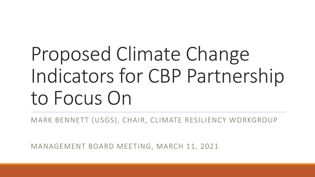# Proposed Climate Change Indicators for CBP Partnership to Focus On

MARK BENNETT (USGS), CHAIR, CLIMATE RESILIENCY WORKGROUP

MANAGEMENT BOARD MEETING, MARCH 11, 2021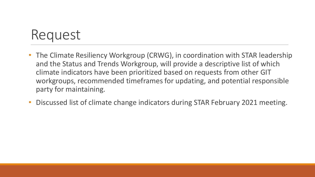### Request

- The Climate Resiliency Workgroup (CRWG), in coordination with STAR leadership and the Status and Trends Workgroup, will provide a descriptive list of which climate indicators have been prioritized based on requests from other GIT workgroups, recommended timeframes for updating, and potential responsible party for maintaining.
- Discussed list of climate change indicators during STAR February 2021 meeting.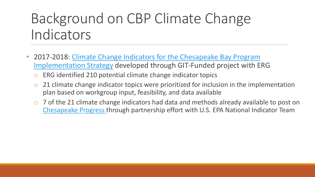## Background on CBP Climate Change Indicators

- 2017-2018: Climate Change Indicators for the Chesapeake Bay Program Implementation Strategy developed through GIT-Funded project with ERG
	- o ERG identified 210 potential climate change indicator topics
	- $\circ$  21 climate change indicator topics were prioritized for inclusion in the implementation plan based on workgroup input, feasibility, and data available
	- 7 of the 21 climate change indicators had data and methods already available to post on [Chesapeake Progress t](https://www.chesapeakeprogress.com/climate-change/climate-monitoring-and-assessment)hrough partnership effort with U.S. EPA National Indicator Team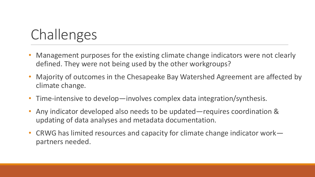# Challenges

- Management purposes for the existing climate change indicators were not clearly defined. They were not being used by the other workgroups?
- Majority of outcomes in the Chesapeake Bay Watershed Agreement are affected by climate change.
- Time-intensive to develop—involves complex data integration/synthesis.
- Any indicator developed also needs to be updated—requires coordination & updating of data analyses and metadata documentation.
- CRWG has limited resources and capacity for climate change indicator work partners needed.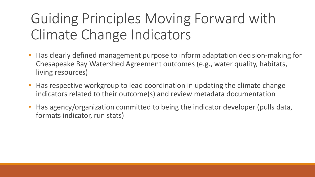# Guiding Principles Moving Forward with Climate Change Indicators

- Has clearly defined management purpose to inform adaptation decision-making for Chesapeake Bay Watershed Agreement outcomes (e.g., water quality, habitats, living resources)
- Has respective workgroup to lead coordination in updating the climate change indicators related to their outcome(s) and review metadata documentation
- Has agency/organization committed to being the indicator developer (pulls data, formats indicator, run stats)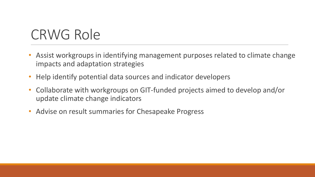### CRWG Role

- Assist workgroups in identifying management purposes related to climate change impacts and adaptation strategies
- Help identify potential data sources and indicator developers
- Collaborate with workgroups on GIT-funded projects aimed to develop and/or update climate change indicators
- Advise on result summaries for Chesapeake Progress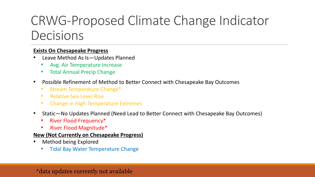### CRWG-Proposed Climate Change Indicator Decisions

### **Exists On Chesapeake Progress**

- Leave Method As Is-Updates Planned
	- Avg. Air Temperature Increase
	- Total Annual Precip Change
- Possible Refinement of Method to Better Connect with Chesapeake Bay Outcomes
	- Stream Temperature Change\*
	- Relative Sea Level Rise
	- Change in High Temperature Extremes
- Static—No Updates Planned (Need Lead to Better Connect with Chesapeake Bay Outcomes)
	- River Flood Frequency\*
	- River Flood Magnitude\*

### **New (Not Currently on Chesapeake Progress)**

- Method being Explored
	- Tidal Bay Water Temperature Change

### \*data updates currently not available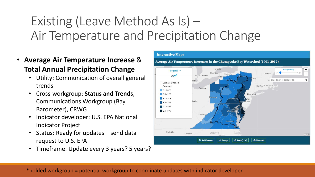### Existing (Leave Method As Is) – Air Temperature and Precipitation Change

- **Average Air Temperature Increase** & **Total Annual Precipitation Change**
	- Utility: Communication of overall general trends
	- Cross-workgroup: **Status and Trends**, Communications Workgroup (Bay Barometer), CRWG
	- Indicator developer: U.S. EPA National Indicator Project
	- Status: Ready for updates send data request to U.S. EPA
	- Timeframe: Update every 3 years? 5 years?

#### **Interactive Maps**

Average Air Temperature Increases in the Chesapeake Bay Watershed (1901-2017)



\*bolded workgroup = potential workgroup to coordinate updates with indicator developer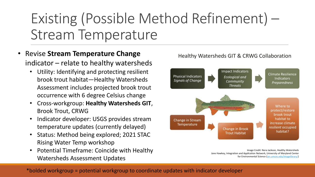# Existing (Possible Method Refinement) – Stream Temperature

- Revise **Stream Temperature Change** indicator – relate to healthy watersheds
	- Utility: Identifying and protecting resilient brook trout habitat—Healthy Watersheds Assessment includes projected brook trout occurrence with 6 degree Celsius change
	- Cross-workgroup: **Healthy Watersheds GIT**, Brook Trout, CRWG
	- Indicator developer: USGS provides stream temperature updates (currently delayed)
	- Status: Method being explored; 2021 STAC Rising Water Temp workshop
	- Potential Timeframe: Coincide with Healthy Watersheds Assessment Updates

### Healthy Watersheds GIT & CRWG Collaboration



Image Credit: Nora Jackson, Healthy Watersheds Jane Hawkey, Integration and Application Network, University of Maryland Center for Environmental Science [\(ian.umces.edu/imagelibrary/](http://ian.umces.edu/imagelibrary/))

\*bolded workgroup = potential workgroup to coordinate updates with indicator developer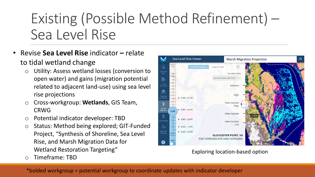# Existing (Possible Method Refinement) – Sea Level Rise

- Revise **Sea Level Rise** indicator **–** relate to tidal wetland change
	- Utility: Assess wetland losses (conversion to open water) and gains (migration potential related to adjacent land-use) using sea level rise projections
	- o Cross-workgroup: **Wetlands**, GIS Team, CRWG
	- Potential indicator developer: TBD
	- o Status: Method being explored; GIT-Funded Project, "Synthesis of Shoreline, Sea Level Rise, and Marsh Migration Data for Wetland Restoration Targeting"
	- o Timeframe: TBD



Exploring location-based option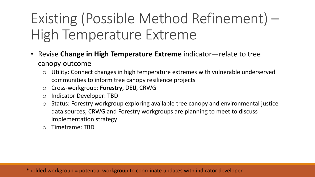# Existing (Possible Method Refinement) – High Temperature Extreme

- Revise **Change in High Temperature Extreme** indicator—relate to tree canopy outcome
	- o Utility: Connect changes in high temperature extremes with vulnerable underserved communities to inform tree canopy resilience projects
	- o Cross-workgroup: **Forestry**, DEIJ, CRWG
	- o Indicator Developer: TBD
	- o Status: Forestry workgroup exploring available tree canopy and environmental justice data sources; CRWG and Forestry workgroups are planning to meet to discuss implementation strategy
	- o Timeframe: TBD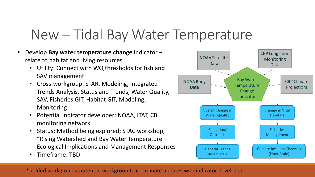### New – Tidal Bay Water Temperature

- Develop **Bay water temperature change** indicator relate to habitat and living resources
	- Utility: Connect with WQ thresholds for fish and SAV management
	- Cross-workgroup: STAR, Modeling, Integrated Trends Analysis, Status and Trends, Water Quality, SAV, Fisheries GIT, Habitat GIT, Modeling, Monitoring
	- Potential indicator developer: NOAA, ITAT, CB monitoring network
	- Status: Method being explored; STAC workshop, "Rising Watershed and Bay Water Temperature – Ecological Implications and Management Responses
	- Timeframe: TBD

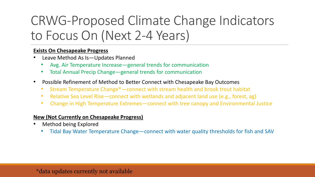### CRWG-Proposed Climate Change Indicators to Focus On (Next 2-4 Years)

### **Exists On Chesapeake Progress**

- Leave Method As Is-Updates Planned
	- Avg. Air Temperature Increase—general trends for communication
	- Total Annual Precip Change—general trends for communication
- Possible Refinement of Method to Better Connect with Chesapeake Bay Outcomes
	- Stream Temperature Change\*—connect with stream health and brook trout habitat
	- Relative Sea Level Rise—connect with wetlands and adjacent land use (e.g., forest, ag)
	- Change in High Temperature Extremes—connect with tree canopy and Environmental Justice

### **New (Not Currently on Chesapeake Progress)**

- Method being Explored
	- Tidal Bay Water Temperature Change—connect with water quality thresholds for fish and SAV